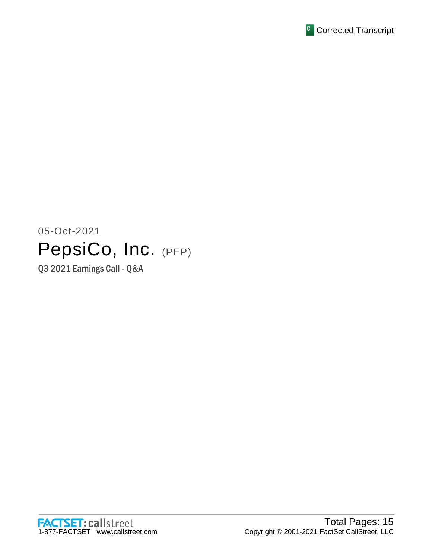

# 05-Oct-2021 PepsiCo, Inc. (PEP)

Q3 2021 Earnings Call - Q&A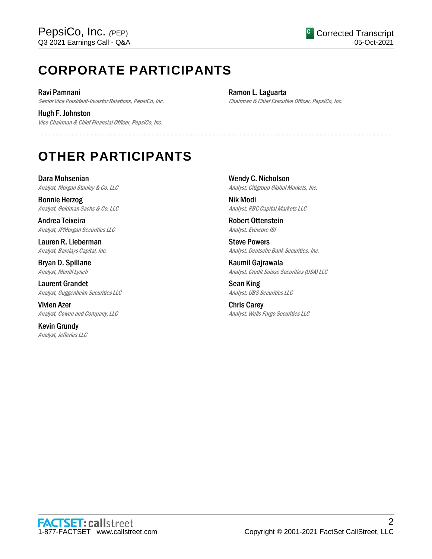# **CORPORATE PARTICIPANTS**

Ravi Pamnani Senior Vice President-Investor Relations, PepsiCo, Inc.

Hugh F. Johnston Vice Chairman & Chief Financial Officer, PepsiCo, Inc. Ramon L. Laguarta Chairman & Chief Executive Officer, PepsiCo, Inc.

# **OTHER PARTICIPANTS**

Dara Mohsenian Analyst, Morgan Stanley & Co. LLC

Bonnie Herzog Analyst, Goldman Sachs & Co. LLC

Andrea Teixeira Analyst, JPMorgan Securities LLC

Lauren R. Lieberman Analyst, Barclays Capital, Inc.

Bryan D. Spillane Analyst, Merrill Lynch

Laurent Grandet Analyst, Guggenheim Securities LLC

Vivien Azer Analyst, Cowen and Company, LLC

Kevin Grundy Analyst, Jefferies LLC Wendy C. Nicholson Analyst, Citigroup Global Markets, Inc.

Nik Modi Analyst, RBC Capital Markets LLC

Robert Ottenstein Analyst, Evercore ISI

.....................................................................................................................................................................................................................................................................

Steve Powers Analyst, Deutsche Bank Securities, Inc.

Kaumil Gajrawala Analyst, Credit Suisse Securities (USA) LLC

Sean King Analyst, UBS Securities LLC

Chris Carey Analyst, Wells Fargo Securities LLC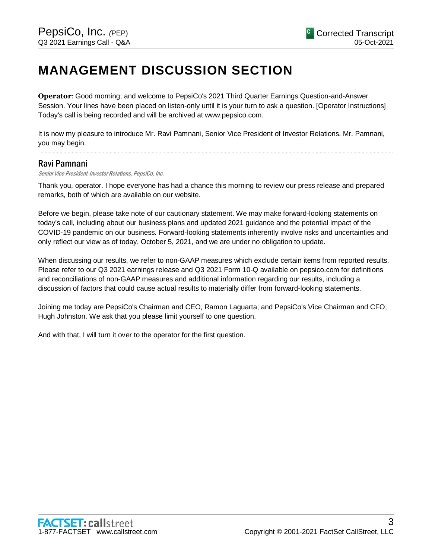# **MANAGEMENT DISCUSSION SECTION**

**Operator**: Good morning, and welcome to PepsiCo's 2021 Third Quarter Earnings Question-and-Answer Session. Your lines have been placed on listen-only until it is your turn to ask a question. [Operator Instructions] Today's call is being recorded and will be archived at www.pepsico.com.

It is now my pleasure to introduce Mr. Ravi Pamnani, Senior Vice President of Investor Relations. Mr. Pamnani, you may begin.

.....................................................................................................................................................................................................................................................................

# Ravi Pamnani

Senior Vice President-Investor Relations, PepsiCo, Inc.

Thank you, operator. I hope everyone has had a chance this morning to review our press release and prepared remarks, both of which are available on our website.

Before we begin, please take note of our cautionary statement. We may make forward-looking statements on today's call, including about our business plans and updated 2021 guidance and the potential impact of the COVID-19 pandemic on our business. Forward-looking statements inherently involve risks and uncertainties and only reflect our view as of today, October 5, 2021, and we are under no obligation to update.

When discussing our results, we refer to non-GAAP measures which exclude certain items from reported results. Please refer to our Q3 2021 earnings release and Q3 2021 Form 10-Q available on pepsico.com for definitions and reconciliations of non-GAAP measures and additional information regarding our results, including a discussion of factors that could cause actual results to materially differ from forward-looking statements.

Joining me today are PepsiCo's Chairman and CEO, Ramon Laguarta; and PepsiCo's Vice Chairman and CFO, Hugh Johnston. We ask that you please limit yourself to one question.

And with that, I will turn it over to the operator for the first question.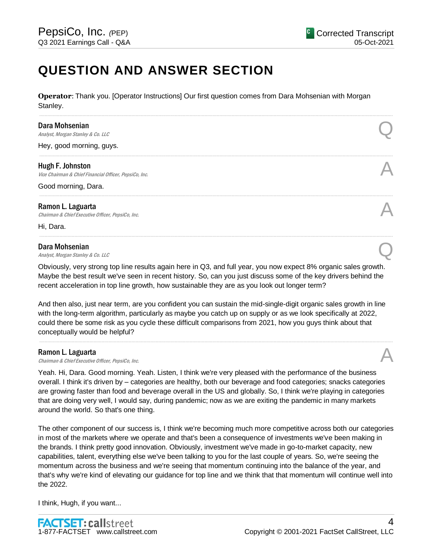# **QUESTION AND ANSWER SECTION**

**Operator**: Thank you. [Operator Instructions] Our first question comes from Dara Mohsenian with Morgan Stanley.

.....................................................................................................................................................................................................................................................................

.....................................................................................................................................................................................................................................................................

.....................................................................................................................................................................................................................................................................

.....................................................................................................................................................................................................................................................................

#### Dara Mohsenian

**Dara Mohsenian**<br>Analyst, Morgan Stanley & Co. LLC Quarter of Analyst, Morgan Stanley & Co. LLC

Hey, good morning, guys.

## Hugh F. Johnston

**Hugh F. Johnston**<br>Vice Chairman & Chief Financial Officer, PepsiCo, Inc.  $\mathcal{A}$ 

Good morning, Dara.

## Ramon L. Laguarta

**Ramon L. Laguarta**<br>Chairman & Chief Executive Officer, PepsiCo, Inc.  $\mathcal{A}$ 

Hi, Dara.

#### Dara Mohsenian

**Dara Mohsenian**<br>Analyst, Morgan Stanley & Co. LLC Quarter of Analyst, Morgan Stanley & Co. LLC

Obviously, very strong top line results again here in Q3, and full year, you now expect 8% organic sales growth. Maybe the best result we've seen in recent history. So, can you just discuss some of the key drivers behind the recent acceleration in top line growth, how sustainable they are as you look out longer term?

And then also, just near term, are you confident you can sustain the mid-single-digit organic sales growth in line with the long-term algorithm, particularly as maybe you catch up on supply or as we look specifically at 2022, could there be some risk as you cycle these difficult comparisons from 2021, how you guys think about that conceptually would be helpful?

.....................................................................................................................................................................................................................................................................

# Ramon L. Laguarta

**Ramon L. Laguarta**<br>Chairman & Chief Executive Officer, PepsiCo, Inc.  $\mathcal{A}$ 

Yeah. Hi, Dara. Good morning. Yeah. Listen, I think we're very pleased with the performance of the business overall. I think it's driven by – categories are healthy, both our beverage and food categories; snacks categories are growing faster than food and beverage overall in the US and globally. So, I think we're playing in categories that are doing very well, I would say, during pandemic; now as we are exiting the pandemic in many markets around the world. So that's one thing.

The other component of our success is, I think we're becoming much more competitive across both our categories in most of the markets where we operate and that's been a consequence of investments we've been making in the brands. I think pretty good innovation. Obviously, investment we've made in go-to-market capacity, new capabilities, talent, everything else we've been talking to you for the last couple of years. So, we're seeing the momentum across the business and we're seeing that momentum continuing into the balance of the year, and that's why we're kind of elevating our guidance for top line and we think that that momentum will continue well into the 2022.

I think, Hugh, if you want...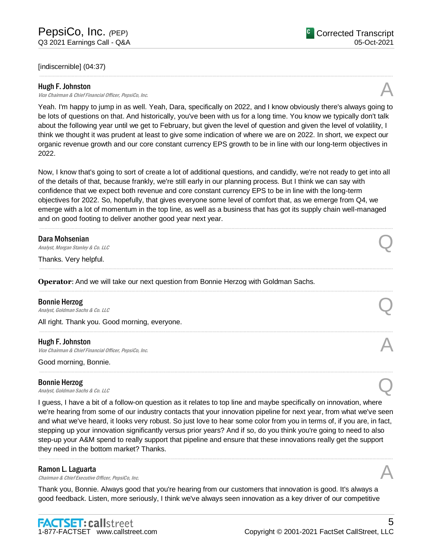# [indiscernible] (04:37)

# Hugh F. Johnston

**Hugh F. Johnston**<br>Vice Chairman & Chief Financial Officer, PepsiCo, Inc.  $\mathcal{A}$ 

Yeah. I'm happy to jump in as well. Yeah, Dara, specifically on 2022, and I know obviously there's always going to be lots of questions on that. And historically, you've been with us for a long time. You know we typically don't talk about the following year until we get to February, but given the level of question and given the level of volatility, I think we thought it was prudent at least to give some indication of where we are on 2022. In short, we expect our organic revenue growth and our core constant currency EPS growth to be in line with our long-term objectives in 2022.

.....................................................................................................................................................................................................................................................................

Now, I know that's going to sort of create a lot of additional questions, and candidly, we're not ready to get into all of the details of that, because frankly, we're still early in our planning process. But I think we can say with confidence that we expect both revenue and core constant currency EPS to be in line with the long-term objectives for 2022. So, hopefully, that gives everyone some level of comfort that, as we emerge from Q4, we emerge with a lot of momentum in the top line, as well as a business that has got its supply chain well-managed and on good footing to deliver another good year next year.

.....................................................................................................................................................................................................................................................................

.....................................................................................................................................................................................................................................................................

.....................................................................................................................................................................................................................................................................

.....................................................................................................................................................................................................................................................................

.....................................................................................................................................................................................................................................................................

## Dara Mohsenian

**Dara Mohsenian**<br>Analyst, Morgan Stanley & Co. LLC Quarter of Analyst, Morgan Stanley & Co. LLC

Thanks. Very helpful.

**Operator**: And we will take our next question from Bonnie Herzog with Goldman Sachs.

#### Bonnie Herzog

**Bonnie Herzog**<br>Analyst, Goldman Sachs & Co. LLC  $\bigotimes$ 

All right. Thank you. Good morning, everyone.

# Hugh F. Johnston

**Hugh F. Johnston**<br>Vice Chairman & Chief Financial Officer, PepsiCo, Inc.  $\mathcal{A}$ 

Good morning, Bonnie.

# Bonnie Herzog

**Bonnie Herzog**<br>Analyst, Goldman Sachs & Co. LLC Quarter of the Control of the Control of the Control of the Control of the Control of the Control of the Control of the Control of the Control of the Control of the Control

I guess, I have a bit of a follow-on question as it relates to top line and maybe specifically on innovation, where we're hearing from some of our industry contacts that your innovation pipeline for next year, from what we've seen and what we've heard, it looks very robust. So just love to hear some color from you in terms of, if you are, in fact, stepping up your innovation significantly versus prior years? And if so, do you think you're going to need to also step-up your A&M spend to really support that pipeline and ensure that these innovations really get the support they need in the bottom market? Thanks.

.....................................................................................................................................................................................................................................................................

# Ramon L. Laguarta

**Ramon L. Laguarta**<br>Chairman & Chief Executive Officer, PepsiCo, Inc.  $\mathcal{A}$ 

Thank you, Bonnie. Always good that you're hearing from our customers that innovation is good. It's always a good feedback. Listen, more seriously, I think we've always seen innovation as a key driver of our competitive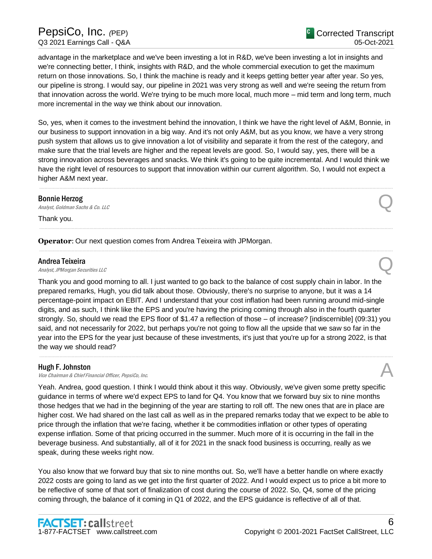advantage in the marketplace and we've been investing a lot in R&D, we've been investing a lot in insights and we're connecting better, I think, insights with R&D, and the whole commercial execution to get the maximum return on those innovations. So, I think the machine is ready and it keeps getting better year after year. So yes, our pipeline is strong. I would say, our pipeline in 2021 was very strong as well and we're seeing the return from that innovation across the world. We're trying to be much more local, much more – mid term and long term, much more incremental in the way we think about our innovation.

So, yes, when it comes to the investment behind the innovation, I think we have the right level of A&M, Bonnie, in our business to support innovation in a big way. And it's not only A&M, but as you know, we have a very strong push system that allows us to give innovation a lot of visibility and separate it from the rest of the category, and make sure that the trial levels are higher and the repeat levels are good. So, I would say, yes, there will be a strong innovation across beverages and snacks. We think it's going to be quite incremental. And I would think we have the right level of resources to support that innovation within our current algorithm. So, I would not expect a higher A&M next year.

.....................................................................................................................................................................................................................................................................

.....................................................................................................................................................................................................................................................................

.....................................................................................................................................................................................................................................................................

#### Bonnie Herzog

**Bonnie Herzog**<br>Analyst, Goldman Sachs & Co. LLC Quarter of the Control of the Control of the Control of the Control of the Control of the Control of the Control of the Control of the Control of the Control of the Control

Thank you.

**Operator**: Our next question comes from Andrea Teixeira with JPMorgan.

## Andrea Teixeira

**Andrea Teixeira**<br>Analyst, JPMorgan Securities LLC

Thank you and good morning to all. I just wanted to go back to the balance of cost supply chain in labor. In the prepared remarks, Hugh, you did talk about those. Obviously, there's no surprise to anyone, but it was a 14 percentage-point impact on EBIT. And I understand that your cost inflation had been running around mid-single digits, and as such, I think like the EPS and you're having the pricing coming through also in the fourth quarter strongly. So, should we read the EPS floor of \$1.47 a reflection of those – of increase? [indiscernible] (09:31) you said, and not necessarily for 2022, but perhaps you're not going to flow all the upside that we saw so far in the year into the EPS for the year just because of these investments, it's just that you're up for a strong 2022, is that the way we should read?

.....................................................................................................................................................................................................................................................................

# Hugh F. Johnston

**Hugh F. Johnston**<br>Vice Chairman & Chief Financial Officer, PepsiCo, Inc.  $\mathcal{A}$ 

Yeah. Andrea, good question. I think I would think about it this way. Obviously, we've given some pretty specific guidance in terms of where we'd expect EPS to land for Q4. You know that we forward buy six to nine months those hedges that we had in the beginning of the year are starting to roll off. The new ones that are in place are higher cost. We had shared on the last call as well as in the prepared remarks today that we expect to be able to price through the inflation that we're facing, whether it be commodities inflation or other types of operating expense inflation. Some of that pricing occurred in the summer. Much more of it is occurring in the fall in the beverage business. And substantially, all of it for 2021 in the snack food business is occurring, really as we speak, during these weeks right now.

You also know that we forward buy that six to nine months out. So, we'll have a better handle on where exactly 2022 costs are going to land as we get into the first quarter of 2022. And I would expect us to price a bit more to be reflective of some of that sort of finalization of cost during the course of 2022. So, Q4, some of the pricing coming through, the balance of it coming in Q1 of 2022, and the EPS guidance is reflective of all of that.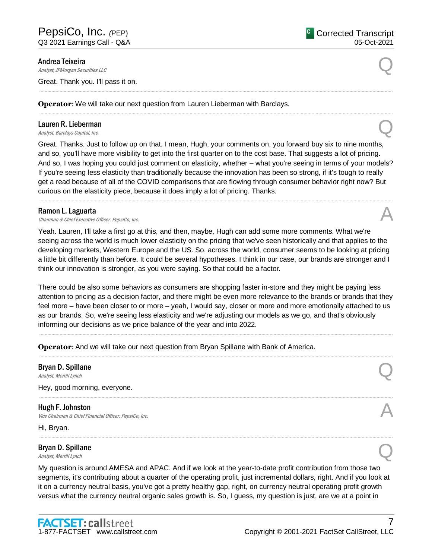#### Andrea Teixeira

**Andrea Teixeira**<br>Analyst, JPMorgan Securities LLC

Great. Thank you. I'll pass it on.

**Operator**: We will take our next question from Lauren Lieberman with Barclays.

# Lauren R. Lieberman **Lauren R. Lieberman**<br>
Analyst, Barclays Capital, Inc. Quarter and Containing the Second Contains a set of Containing the Second Conta

Great. Thanks. Just to follow up on that. I mean, Hugh, your comments on, you forward buy six to nine months, and so, you'll have more visibility to get into the first quarter on to the cost base. That suggests a lot of pricing. And so, I was hoping you could just comment on elasticity, whether – what you're seeing in terms of your models? If you're seeing less elasticity than traditionally because the innovation has been so strong, if it's tough to really get a read because of all of the COVID comparisons that are flowing through consumer behavior right now? But curious on the elasticity piece, because it does imply a lot of pricing. Thanks.

.....................................................................................................................................................................................................................................................................

.....................................................................................................................................................................................................................................................................

.....................................................................................................................................................................................................................................................................

#### Ramon L. Laguarta

**Ramon L. Laguarta**<br>Chairman & Chief Executive Officer, PepsiCo, Inc.  $\mathcal{A}$ 

Yeah. Lauren, I'll take a first go at this, and then, maybe, Hugh can add some more comments. What we're seeing across the world is much lower elasticity on the pricing that we've seen historically and that applies to the developing markets, Western Europe and the US. So, across the world, consumer seems to be looking at pricing a little bit differently than before. It could be several hypotheses. I think in our case, our brands are stronger and I think our innovation is stronger, as you were saying. So that could be a factor.

There could be also some behaviors as consumers are shopping faster in-store and they might be paying less attention to pricing as a decision factor, and there might be even more relevance to the brands or brands that they feel more – have been closer to or more – yeah, I would say, closer or more and more emotionally attached to us as our brands. So, we're seeing less elasticity and we're adjusting our models as we go, and that's obviously informing our decisions as we price balance of the year and into 2022.

.....................................................................................................................................................................................................................................................................

.....................................................................................................................................................................................................................................................................

.....................................................................................................................................................................................................................................................................

.....................................................................................................................................................................................................................................................................

**Operator**: And we will take our next question from Bryan Spillane with Bank of America.

# Bryan D. Spillane **Bryan D. Spillane**<br>Analyst, Merrill Lynch Q.

Hey, good morning, everyone.

# Hugh F. Johnston **Hugh F. Johnston**<br>Vice Chairman & Chief Financial Officer, PepsiCo, Inc.  $\mathcal{A}$

Hi, Bryan.

# Bryan D. Spillane **Bryan D. Spillane**<br>Analyst, Merrill Lynch  $\mathbb{Q}$

My question is around AMESA and APAC. And if we look at the year-to-date profit contribution from those two segments, it's contributing about a quarter of the operating profit, just incremental dollars, right. And if you look at it on a currency neutral basis, you've got a pretty healthy gap, right, on currency neutral operating profit growth versus what the currency neutral organic sales growth is. So, I guess, my question is just, are we at a point in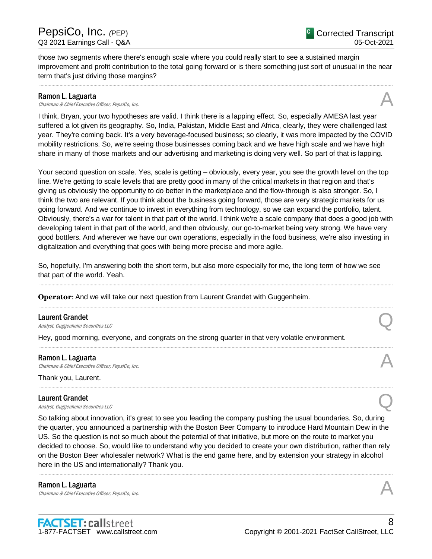those two segments where there's enough scale where you could really start to see a sustained margin improvement and profit contribution to the total going forward or is there something just sort of unusual in the near term that's just driving those margins?

.....................................................................................................................................................................................................................................................................

## Ramon L. Laguarta

**Ramon L. Laguarta**<br>Chairman & Chief Executive Officer, PepsiCo, Inc.  $\mathcal{A}$ 

I think, Bryan, your two hypotheses are valid. I think there is a lapping effect. So, especially AMESA last year suffered a lot given its geography. So, India, Pakistan, Middle East and Africa, clearly, they were challenged last year. They're coming back. It's a very beverage-focused business; so clearly, it was more impacted by the COVID mobility restrictions. So, we're seeing those businesses coming back and we have high scale and we have high share in many of those markets and our advertising and marketing is doing very well. So part of that is lapping.

Your second question on scale. Yes, scale is getting – obviously, every year, you see the growth level on the top line. We're getting to scale levels that are pretty good in many of the critical markets in that region and that's giving us obviously the opportunity to do better in the marketplace and the flow-through is also stronger. So, I think the two are relevant. If you think about the business going forward, those are very strategic markets for us going forward. And we continue to invest in everything from technology, so we can expand the portfolio, talent. Obviously, there's a war for talent in that part of the world. I think we're a scale company that does a good job with developing talent in that part of the world, and then obviously, our go-to-market being very strong. We have very good bottlers. And wherever we have our own operations, especially in the food business, we're also investing in digitalization and everything that goes with being more precise and more agile.

So, hopefully, I'm answering both the short term, but also more especially for me, the long term of how we see that part of the world. Yeah.

.....................................................................................................................................................................................................................................................................

.....................................................................................................................................................................................................................................................................

.....................................................................................................................................................................................................................................................................

.....................................................................................................................................................................................................................................................................

**Operator**: And we will take our next question from Laurent Grandet with Guggenheim.

#### Laurent Grandet

**Laurent Grandet**<br>Analyst, Guggenheim Securities LLC

Hey, good morning, everyone, and congrats on the strong quarter in that very volatile environment.

#### Ramon L. Laguarta

**Ramon L. Laguarta**<br>Chairman & Chief Executive Officer, PepsiCo, Inc.  $\mathcal{A}$ 

Thank you, Laurent.

#### Laurent Grandet

**Laurent Grandet**<br>Analyst, Guggenheim Securities LLC

So talking about innovation, it's great to see you leading the company pushing the usual boundaries. So, during the quarter, you announced a partnership with the Boston Beer Company to introduce Hard Mountain Dew in the US. So the question is not so much about the potential of that initiative, but more on the route to market you decided to choose. So, would like to understand why you decided to create your own distribution, rather than rely on the Boston Beer wholesaler network? What is the end game here, and by extension your strategy in alcohol here in the US and internationally? Thank you.

.....................................................................................................................................................................................................................................................................

Ramon L. Laguarta **Ramon L. Laguarta**<br>Chairman & Chief Executive Officer, PepsiCo, Inc.  $\mathcal{A}$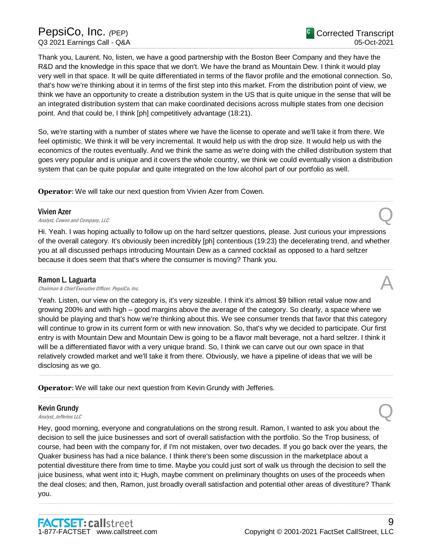Thank you, Laurent. No, listen, we have a good partnership with the Boston Beer Company and they have the R&D and the knowledge in this space that we don't. We have the brand as Mountain Dew. I think it would play very well in that space. It will be quite differentiated in terms of the flavor profile and the emotional connection. So, that's how we're thinking about it in terms of the first step into this market. From the distribution point of view, we think we have an opportunity to create a distribution system in the US that is quite unique in the sense that will be an integrated distribution system that can make coordinated decisions across multiple states from one decision point. And that could be, I think [ph] competitively advantage (18:21).

So, we're starting with a number of states where we have the license to operate and we'll take it from there. We feel optimistic. We think it will be very incremental. It would help us with the drop size. It would help us with the economics of the routes eventually. And we think the same as we're doing with the chilled distribution system that goes very popular and is unique and it covers the whole country, we think we could eventually vision a distribution system that can be quite popular and quite integrated on the low alcohol part of our portfolio as well.

.....................................................................................................................................................................................................................................................................

.....................................................................................................................................................................................................................................................................

**Operator:** We will take our next question from Vivien Azer from Cowen.

#### Vivien Azer

**Vivien Azer**<br>Analyst, Cowen and Company, LLC

Hi. Yeah. I was hoping actually to follow up on the hard seltzer questions, please. Just curious your impressions of the overall category. It's obviously been incredibly [ph] contentious (19:23) the decelerating trend, and whether you at all discussed perhaps introducing Mountain Dew as a canned cocktail as opposed to a hard seltzer because it does seem that that's where the consumer is moving? Thank you.

.....................................................................................................................................................................................................................................................................

#### Ramon L. Laguarta

**Ramon L. Laguarta**<br>Chairman & Chief Executive Officer, PepsiCo, Inc.  $\mathcal{A}$ 

Yeah. Listen, our view on the category is, it's very sizeable. I think it's almost \$9 billion retail value now and growing 200% and with high – good margins above the average of the category. So clearly, a space where we should be playing and that's how we're thinking about this. We see consumer trends that favor that this category will continue to grow in its current form or with new innovation. So, that's why we decided to participate. Our first entry is with Mountain Dew and Mountain Dew is going to be a flavor malt beverage, not a hard seltzer. I think it will be a differentiated flavor with a very unique brand. So, I think we can carve out our own space in that relatively crowded market and we'll take it from there. Obviously, we have a pipeline of ideas that we will be disclosing as we go.

.....................................................................................................................................................................................................................................................................

.....................................................................................................................................................................................................................................................................

**Operator**: We will take our next question from Kevin Grundy with Jefferies.

# Kevin Grundy **Kevin Grundy**<br>Analyst, Jefferies LLC

Hey, good morning, everyone and congratulations on the strong result. Ramon, I wanted to ask you about the decision to sell the juice businesses and sort of overall satisfaction with the portfolio. So the Trop business, of course, had been with the company for, if I'm not mistaken, over two decades. If you go back over the years, the Quaker business has had a nice balance. I think there's been some discussion in the marketplace about a potential divestiture there from time to time. Maybe you could just sort of walk us through the decision to sell the juice business, what went into it; Hugh, maybe comment on preliminary thoughts on uses of the proceeds when the deal closes; and then, Ramon, just broadly overall satisfaction and potential other areas of divestiture? Thank you.

.....................................................................................................................................................................................................................................................................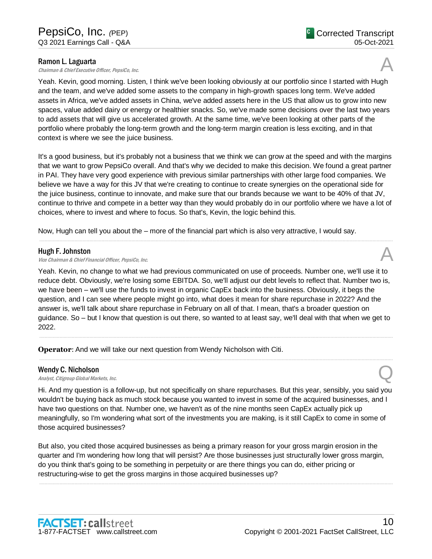**Ramon L. Laguarta**<br>Chairman & Chief Executive Officer, PepsiCo, Inc.  $\mathcal{A}$ 

Yeah. Kevin, good morning. Listen, I think we've been looking obviously at our portfolio since I started with Hugh and the team, and we've added some assets to the company in high-growth spaces long term. We've added assets in Africa, we've added assets in China, we've added assets here in the US that allow us to grow into new spaces, value added dairy or energy or healthier snacks. So, we've made some decisions over the last two years to add assets that will give us accelerated growth. At the same time, we've been looking at other parts of the portfolio where probably the long-term growth and the long-term margin creation is less exciting, and in that context is where we see the juice business.

It's a good business, but it's probably not a business that we think we can grow at the speed and with the margins that we want to grow PepsiCo overall. And that's why we decided to make this decision. We found a great partner in PAI. They have very good experience with previous similar partnerships with other large food companies. We believe we have a way for this JV that we're creating to continue to create synergies on the operational side for the juice business, continue to innovate, and make sure that our brands because we want to be 40% of that JV, continue to thrive and compete in a better way than they would probably do in our portfolio where we have a lot of choices, where to invest and where to focus. So that's, Kevin, the logic behind this.

.....................................................................................................................................................................................................................................................................

Now, Hugh can tell you about the – more of the financial part which is also very attractive, I would say.

# Hugh F. Johnston

**Hugh F. Johnston**<br>Vice Chairman & Chief Financial Officer, PepsiCo, Inc.  $\mathcal{A}$ 

Yeah. Kevin, no change to what we had previous communicated on use of proceeds. Number one, we'll use it to reduce debt. Obviously, we're losing some EBITDA. So, we'll adjust our debt levels to reflect that. Number two is, we have been – we'll use the funds to invest in organic CapEx back into the business. Obviously, it begs the question, and I can see where people might go into, what does it mean for share repurchase in 2022? And the answer is, we'll talk about share repurchase in February on all of that. I mean, that's a broader question on guidance. So – but I know that question is out there, so wanted to at least say, we'll deal with that when we get to 2022.

.....................................................................................................................................................................................................................................................................

.....................................................................................................................................................................................................................................................................

**Operator**: And we will take our next question from Wendy Nicholson with Citi.

# Wendy C. Nicholson

Wendy C. Nicholson<br>Analyst, Citigroup Global Markets, Inc. Quality of the Control of the Control of the Control of the Control of

Hi. And my question is a follow-up, but not specifically on share repurchases. But this year, sensibly, you said you wouldn't be buying back as much stock because you wanted to invest in some of the acquired businesses, and I have two questions on that. Number one, we haven't as of the nine months seen CapEx actually pick up meaningfully, so I'm wondering what sort of the investments you are making, is it still CapEx to come in some of those acquired businesses?

But also, you cited those acquired businesses as being a primary reason for your gross margin erosion in the quarter and I'm wondering how long that will persist? Are those businesses just structurally lower gross margin, do you think that's going to be something in perpetuity or are there things you can do, either pricing or restructuring-wise to get the gross margins in those acquired businesses up?

.....................................................................................................................................................................................................................................................................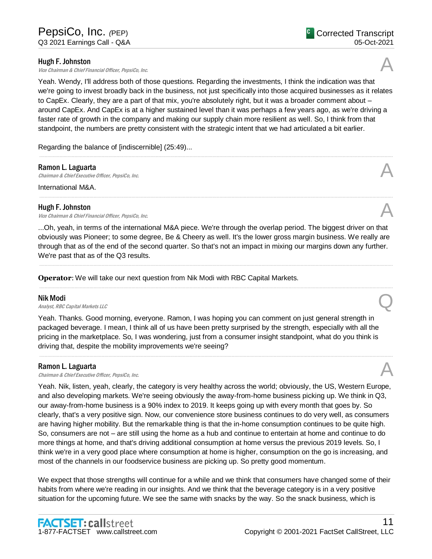# Hugh F. Johnston

**Hugh F. Johnston**<br>Vice Chairman & Chief Financial Officer, PepsiCo, Inc.  $\mathcal{A}$ 

Yeah. Wendy, I'll address both of those questions. Regarding the investments, I think the indication was that we're going to invest broadly back in the business, not just specifically into those acquired businesses as it relates to CapEx. Clearly, they are a part of that mix, you're absolutely right, but it was a broader comment about – around CapEx. And CapEx is at a higher sustained level than it was perhaps a few years ago, as we're driving a faster rate of growth in the company and making our supply chain more resilient as well. So, I think from that standpoint, the numbers are pretty consistent with the strategic intent that we had articulated a bit earlier.

.....................................................................................................................................................................................................................................................................

Regarding the balance of [indiscernible] (25:49)...

# Ramon L. Laguarta

**Ramon L. Laguarta**<br>Chairman & Chief Executive Officer, PepsiCo, Inc.  $\mathcal{A}$ 

International M&A.

# Hugh F. Johnston

**Hugh F. Johnston**<br>Vice Chairman & Chief Financial Officer, PepsiCo, Inc.  $\mathcal{A}$ 

...Oh, yeah, in terms of the international M&A piece. We're through the overlap period. The biggest driver on that obviously was Pioneer; to some degree, Be & Cheery as well. It's the lower gross margin business. We really are through that as of the end of the second quarter. So that's not an impact in mixing our margins down any further. We're past that as of the Q3 results.

.....................................................................................................................................................................................................................................................................

.....................................................................................................................................................................................................................................................................

**Operator**: We will take our next question from Nik Modi with RBC Capital Markets.

# Nik Modi

**Nik Modi**<br>Analyst, RBC Capital Markets LLC

Yeah. Thanks. Good morning, everyone. Ramon, I was hoping you can comment on just general strength in packaged beverage. I mean, I think all of us have been pretty surprised by the strength, especially with all the pricing in the marketplace. So, I was wondering, just from a consumer insight standpoint, what do you think is driving that, despite the mobility improvements we're seeing?

.....................................................................................................................................................................................................................................................................

# Ramon L. Laguarta

**Ramon L. Laguarta**<br>Chairman & Chief Executive Officer, PepsiCo, Inc.  $\mathcal{A}$ 

Yeah. Nik, listen, yeah, clearly, the category is very healthy across the world; obviously, the US, Western Europe, and also developing markets. We're seeing obviously the away-from-home business picking up. We think in Q3, our away-from-home business is a 90% index to 2019. It keeps going up with every month that goes by. So clearly, that's a very positive sign. Now, our convenience store business continues to do very well, as consumers are having higher mobility. But the remarkable thing is that the in-home consumption continues to be quite high. So, consumers are not – are still using the home as a hub and continue to entertain at home and continue to do more things at home, and that's driving additional consumption at home versus the previous 2019 levels. So, I think we're in a very good place where consumption at home is higher, consumption on the go is increasing, and most of the channels in our foodservice business are picking up. So pretty good momentum.

We expect that those strengths will continue for a while and we think that consumers have changed some of their habits from where we're reading in our insights. And we think that the beverage category is in a very positive situation for the upcoming future. We see the same with snacks by the way. So the snack business, which is





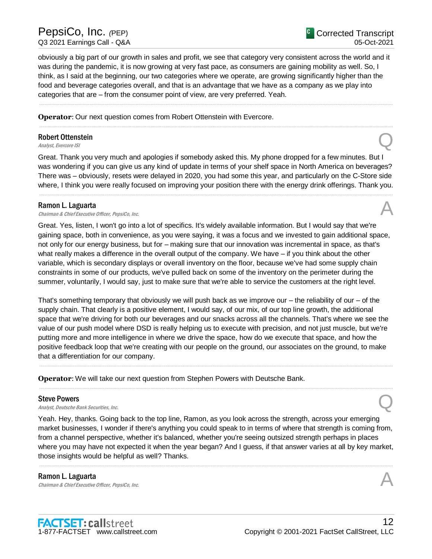obviously a big part of our growth in sales and profit, we see that category very consistent across the world and it was during the pandemic, it is now growing at very fast pace, as consumers are gaining mobility as well. So, I think, as I said at the beginning, our two categories where we operate, are growing significantly higher than the food and beverage categories overall, and that is an advantage that we have as a company as we play into categories that are – from the consumer point of view, are very preferred. Yeah.

.....................................................................................................................................................................................................................................................................

.....................................................................................................................................................................................................................................................................

**Operator**: Our next question comes from Robert Ottenstein with Evercore.

# Robert Ottenstein **Robert Ottenstein**<br>Analyst, Evercore ISI

Great. Thank you very much and apologies if somebody asked this. My phone dropped for a few minutes. But I was wondering if you can give us any kind of update in terms of your shelf space in North America on beverages? There was – obviously, resets were delayed in 2020, you had some this year, and particularly on the C-Store side where, I think you were really focused on improving your position there with the energy drink offerings. Thank you.

.....................................................................................................................................................................................................................................................................

# Ramon L. Laguarta

**Ramon L. Laguarta**<br>Chairman & Chief Executive Officer, PepsiCo, Inc.  $\mathcal{A}$ 

Great. Yes, listen, I won't go into a lot of specifics. It's widely available information. But I would say that we're gaining space, both in convenience, as you were saying, it was a focus and we invested to gain additional space, not only for our energy business, but for – making sure that our innovation was incremental in space, as that's what really makes a difference in the overall output of the company. We have – if you think about the other variable, which is secondary displays or overall inventory on the floor, because we've had some supply chain constraints in some of our products, we've pulled back on some of the inventory on the perimeter during the summer, voluntarily, I would say, just to make sure that we're able to service the customers at the right level.

That's something temporary that obviously we will push back as we improve our – the reliability of our – of the supply chain. That clearly is a positive element, I would say, of our mix, of our top line growth, the additional space that we're driving for both our beverages and our snacks across all the channels. That's where we see the value of our push model where DSD is really helping us to execute with precision, and not just muscle, but we're putting more and more intelligence in where we drive the space, how do we execute that space, and how the positive feedback loop that we're creating with our people on the ground, our associates on the ground, to make that a differentiation for our company.

.....................................................................................................................................................................................................................................................................

.....................................................................................................................................................................................................................................................................

**Operator**: We will take our next question from Stephen Powers with Deutsche Bank.

#### Steve Powers

Steve Powers<br>Analyst, Deutsche Bank Securities, Inc.  $\mathbb Q$ 

Yeah. Hey, thanks. Going back to the top line, Ramon, as you look across the strength, across your emerging market businesses, I wonder if there's anything you could speak to in terms of where that strength is coming from, from a channel perspective, whether it's balanced, whether you're seeing outsized strength perhaps in places where you may have not expected it when the year began? And I guess, if that answer varies at all by key market, those insights would be helpful as well? Thanks.

.....................................................................................................................................................................................................................................................................

Ramon L. Laguarta **Ramon L. Laguarta**<br>Chairman & Chief Executive Officer, PepsiCo, Inc.  $\mathcal{A}$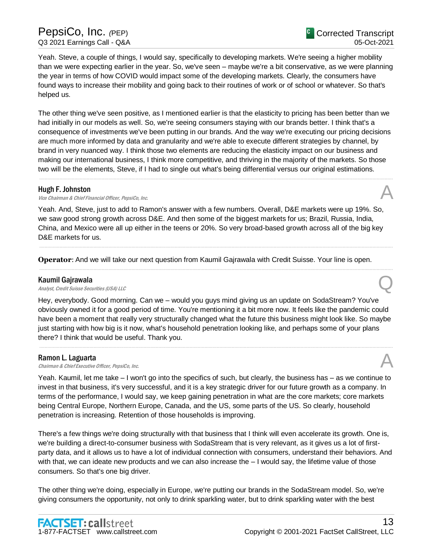Yeah. Steve, a couple of things, I would say, specifically to developing markets. We're seeing a higher mobility than we were expecting earlier in the year. So, we've seen – maybe we're a bit conservative, as we were planning the year in terms of how COVID would impact some of the developing markets. Clearly, the consumers have found ways to increase their mobility and going back to their routines of work or of school or whatever. So that's helped us.

The other thing we've seen positive, as I mentioned earlier is that the elasticity to pricing has been better than we had initially in our models as well. So, we're seeing consumers staying with our brands better. I think that's a consequence of investments we've been putting in our brands. And the way we're executing our pricing decisions are much more informed by data and granularity and we're able to execute different strategies by channel, by brand in very nuanced way. I think those two elements are reducing the elasticity impact on our business and making our international business, I think more competitive, and thriving in the majority of the markets. So those two will be the elements, Steve, if I had to single out what's being differential versus our original estimations.

.....................................................................................................................................................................................................................................................................

# Hugh F. Johnston

**Hugh F. Johnston**<br>Vice Chairman & Chief Financial Officer, PepsiCo, Inc.  $\mathcal{A}$ 

Yeah. And, Steve, just to add to Ramon's answer with a few numbers. Overall, D&E markets were up 19%. So, we saw good strong growth across D&E. And then some of the biggest markets for us; Brazil, Russia, India, China, and Mexico were all up either in the teens or 20%. So very broad-based growth across all of the big key D&E markets for us.

.....................................................................................................................................................................................................................................................................

.....................................................................................................................................................................................................................................................................

**Operator**: And we will take our next question from Kaumil Gajrawala with Credit Suisse. Your line is open.

# Kaumil Gajrawala

**Kaumil Gajrawala**<br>Analyst, Credit Suisse Securities (USA) LLC

Hey, everybody. Good morning. Can we – would you guys mind giving us an update on SodaStream? You've obviously owned it for a good period of time. You're mentioning it a bit more now. It feels like the pandemic could have been a moment that really very structurally changed what the future this business might look like. So maybe just starting with how big is it now, what's household penetration looking like, and perhaps some of your plans there? I think that would be useful. Thank you.

.....................................................................................................................................................................................................................................................................

# Ramon L. Laguarta

**Ramon L. Laguarta**<br>Chairman & Chief Executive Officer, PepsiCo, Inc.  $\mathcal{A}$ 

Yeah. Kaumil, let me take – I won't go into the specifics of such, but clearly, the business has – as we continue to invest in that business, it's very successful, and it is a key strategic driver for our future growth as a company. In terms of the performance, I would say, we keep gaining penetration in what are the core markets; core markets being Central Europe, Northern Europe, Canada, and the US, some parts of the US. So clearly, household penetration is increasing. Retention of those households is improving.

There's a few things we're doing structurally with that business that I think will even accelerate its growth. One is, we're building a direct-to-consumer business with SodaStream that is very relevant, as it gives us a lot of firstparty data, and it allows us to have a lot of individual connection with consumers, understand their behaviors. And with that, we can ideate new products and we can also increase the  $-1$  would say, the lifetime value of those consumers. So that's one big driver.

The other thing we're doing, especially in Europe, we're putting our brands in the SodaStream model. So, we're giving consumers the opportunity, not only to drink sparkling water, but to drink sparkling water with the best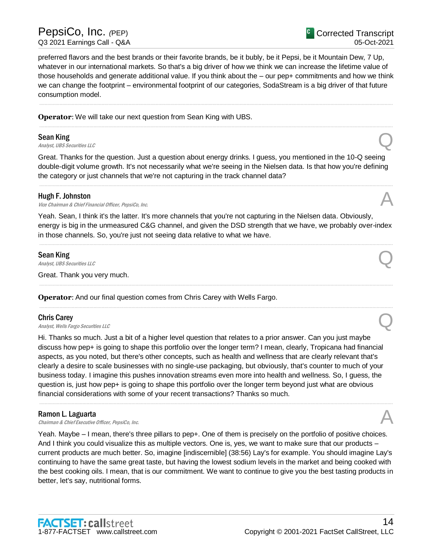preferred flavors and the best brands or their favorite brands, be it bubly, be it Pepsi, be it Mountain Dew, 7 Up, whatever in our international markets. So that's a big driver of how we think we can increase the lifetime value of those households and generate additional value. If you think about the – our pep+ commitments and how we think we can change the footprint – environmental footprint of our categories, SodaStream is a big driver of that future consumption model.

.....................................................................................................................................................................................................................................................................

.....................................................................................................................................................................................................................................................................

# **Operator**: We will take our next question from Sean King with UBS.

# Sean King

**Sean King**<br>Analyst, UBS Securities LLC

Great. Thanks for the question. Just a question about energy drinks. I guess, you mentioned in the 10-Q seeing double-digit volume growth. It's not necessarily what we're seeing in the Nielsen data. Is that how you're defining the category or just channels that we're not capturing in the track channel data?

.....................................................................................................................................................................................................................................................................

## Hugh F. Johnston

**Hugh F. Johnston**<br>Vice Chairman & Chief Financial Officer, PepsiCo, Inc.  $\mathcal{A}$ 

Yeah. Sean, I think it's the latter. It's more channels that you're not capturing in the Nielsen data. Obviously, energy is big in the unmeasured C&G channel, and given the DSD strength that we have, we probably over-index in those channels. So, you're just not seeing data relative to what we have.

.....................................................................................................................................................................................................................................................................

.....................................................................................................................................................................................................................................................................

.....................................................................................................................................................................................................................................................................

## Sean King

**Sean King**<br>Analyst, UBS Securities LLC

Great. Thank you very much.

**Operator**: And our final question comes from Chris Carey with Wells Fargo.

# Chris Carey

**Chris Carey**<br>Analyst, Wells Fargo Securities LLC

Hi. Thanks so much. Just a bit of a higher level question that relates to a prior answer. Can you just maybe discuss how pep+ is going to shape this portfolio over the longer term? I mean, clearly, Tropicana had financial aspects, as you noted, but there's other concepts, such as health and wellness that are clearly relevant that's clearly a desire to scale businesses with no single-use packaging, but obviously, that's counter to much of your business today. I imagine this pushes innovation streams even more into health and wellness. So, I guess, the question is, just how pep+ is going to shape this portfolio over the longer term beyond just what are obvious financial considerations with some of your recent transactions? Thanks so much.

# Ramon L. Laguarta

**Ramon L. Laguarta**<br>Chairman & Chief Executive Officer, PepsiCo, Inc.  $\mathcal{A}$ 

Yeah. Maybe – I mean, there's three pillars to pep+. One of them is precisely on the portfolio of positive choices. And I think you could visualize this as multiple vectors. One is, yes, we want to make sure that our products – current products are much better. So, imagine [indiscernible] (38:56) Lay's for example. You should imagine Lay's continuing to have the same great taste, but having the lowest sodium levels in the market and being cooked with the best cooking oils. I mean, that is our commitment. We want to continue to give you the best tasting products in better, let's say, nutritional forms.





<sup>C</sup> Corrected Transcript

05-Oct-2021